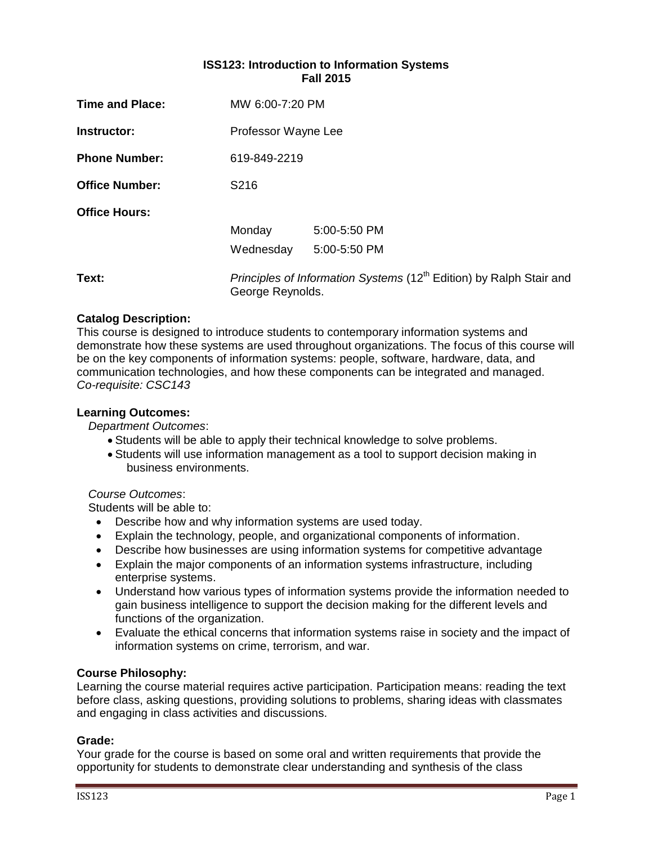### **ISS123: Introduction to Information Systems Fall 2015**

| <b>Time and Place:</b> | MW 6:00-7:20 PM                                                                                     |              |  |  |  |  |
|------------------------|-----------------------------------------------------------------------------------------------------|--------------|--|--|--|--|
| Instructor:            | Professor Wayne Lee                                                                                 |              |  |  |  |  |
| <b>Phone Number:</b>   | 619-849-2219                                                                                        |              |  |  |  |  |
| <b>Office Number:</b>  | S <sub>2</sub> 16                                                                                   |              |  |  |  |  |
| <b>Office Hours:</b>   |                                                                                                     |              |  |  |  |  |
|                        | Monday                                                                                              | 5:00-5:50 PM |  |  |  |  |
|                        | Wednesday                                                                                           | 5:00-5:50 PM |  |  |  |  |
| Text:                  | Principles of Information Systems (12 <sup>th</sup> Edition) by Ralph Stair and<br>George Reynolds. |              |  |  |  |  |

### **Catalog Description:**

This course is designed to introduce students to contemporary information systems and demonstrate how these systems are used throughout organizations. The focus of this course will be on the key components of information systems: people, software, hardware, data, and communication technologies, and how these components can be integrated and managed. *Co-requisite: CSC143*

### **Learning Outcomes:**

*Department Outcomes*:

- Students will be able to apply their technical knowledge to solve problems.
- Students will use information management as a tool to support decision making in business environments.

### *Course Outcomes*:

Students will be able to:

- Describe how and why information systems are used today.
- Explain the technology, people, and organizational components of information.
- Describe how businesses are using information systems for competitive advantage
- Explain the major components of an information systems infrastructure, including enterprise systems.
- Understand how various types of information systems provide the information needed to gain business intelligence to support the decision making for the different levels and functions of the organization.
- Evaluate the ethical concerns that information systems raise in society and the impact of information systems on crime, terrorism, and war.

### **Course Philosophy:**

Learning the course material requires active participation. Participation means: reading the text before class, asking questions, providing solutions to problems, sharing ideas with classmates and engaging in class activities and discussions.

### **Grade:**

Your grade for the course is based on some oral and written requirements that provide the opportunity for students to demonstrate clear understanding and synthesis of the class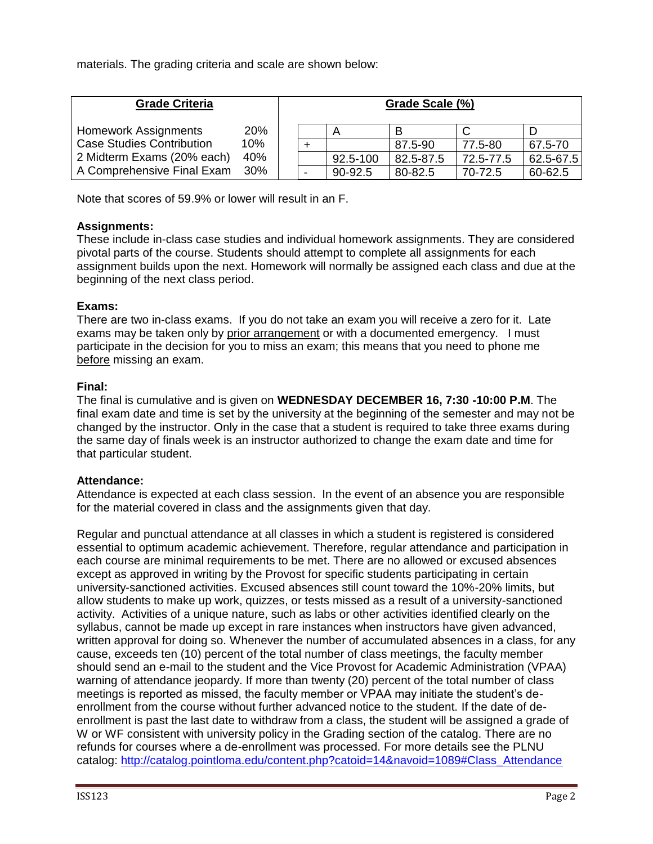materials. The grading criteria and scale are shown below:

| <b>Grade Criteria</b>            |     |  | Grade Scale (%) |          |           |           |               |  |  |
|----------------------------------|-----|--|-----------------|----------|-----------|-----------|---------------|--|--|
| <b>Homework Assignments</b>      | 20% |  |                 |          |           |           |               |  |  |
| <b>Case Studies Contribution</b> | 10% |  |                 |          | 87.5-90   | 77.5-80   | 67.5-70       |  |  |
| 2 Midterm Exams (20% each)       | 40% |  |                 | 92.5-100 | 82.5-87.5 | 72.5-77.5 | $62.5 - 67.5$ |  |  |
| A Comprehensive Final Exam       | 30% |  |                 | 90-92.5  | 80-82.5   | 70-72.5   | 60-62.5       |  |  |

Note that scores of 59.9% or lower will result in an F.

# **Assignments:**

These include in-class case studies and individual homework assignments. They are considered pivotal parts of the course. Students should attempt to complete all assignments for each assignment builds upon the next. Homework will normally be assigned each class and due at the beginning of the next class period.

# **Exams:**

There are two in-class exams. If you do not take an exam you will receive a zero for it. Late exams may be taken only by prior arrangement or with a documented emergency. I must participate in the decision for you to miss an exam; this means that you need to phone me before missing an exam.

# **Final:**

The final is cumulative and is given on **WEDNESDAY DECEMBER 16, 7:30 -10:00 P.M**. The final exam date and time is set by the university at the beginning of the semester and may not be changed by the instructor. Only in the case that a student is required to take three exams during the same day of finals week is an instructor authorized to change the exam date and time for that particular student.

### **Attendance:**

Attendance is expected at each class session. In the event of an absence you are responsible for the material covered in class and the assignments given that day.

Regular and punctual attendance at all classes in which a student is registered is considered essential to optimum academic achievement. Therefore, regular attendance and participation in each course are minimal requirements to be met. There are no allowed or excused absences except as approved in writing by the Provost for specific students participating in certain university-sanctioned activities. Excused absences still count toward the 10%-20% limits, but allow students to make up work, quizzes, or tests missed as a result of a university-sanctioned activity. Activities of a unique nature, such as labs or other activities identified clearly on the syllabus, cannot be made up except in rare instances when instructors have given advanced, written approval for doing so. Whenever the number of accumulated absences in a class, for any cause, exceeds ten (10) percent of the total number of class meetings, the faculty member should send an e-mail to the student and the Vice Provost for Academic Administration (VPAA) warning of attendance jeopardy. If more than twenty (20) percent of the total number of class meetings is reported as missed, the faculty member or VPAA may initiate the student's deenrollment from the course without further advanced notice to the student. If the date of deenrollment is past the last date to withdraw from a class, the student will be assigned a grade of W or WF consistent with university policy in the Grading section of the catalog. There are no refunds for courses where a de-enrollment was processed. For more details see the PLNU catalog: [http://catalog.pointloma.edu/content.php?catoid=14&navoid=1089#Class\\_Attendance](http://catalog.pointloma.edu/content.php?catoid=14&navoid=1089#Class_Attendance)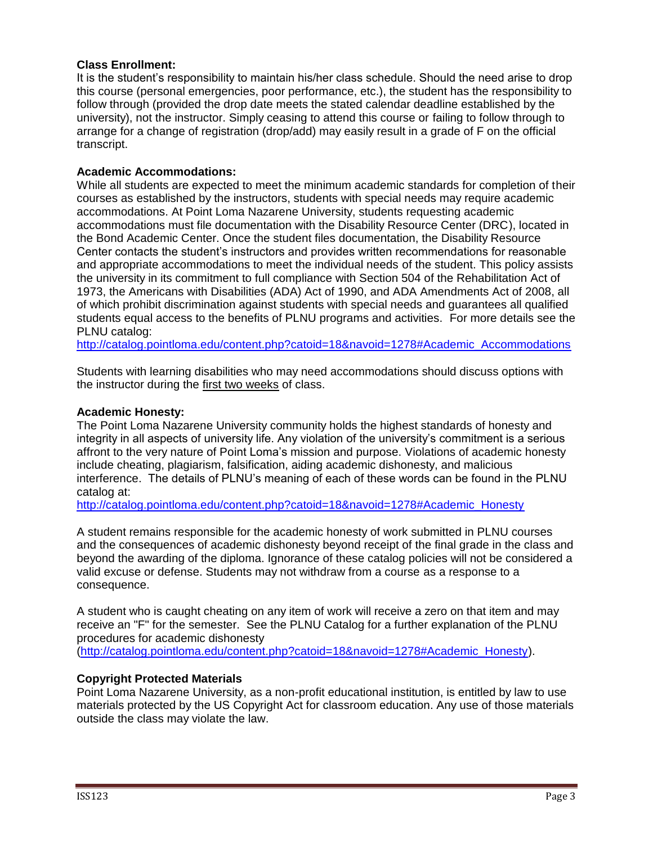### **Class Enrollment:**

It is the student's responsibility to maintain his/her class schedule. Should the need arise to drop this course (personal emergencies, poor performance, etc.), the student has the responsibility to follow through (provided the drop date meets the stated calendar deadline established by the university), not the instructor. Simply ceasing to attend this course or failing to follow through to arrange for a change of registration (drop/add) may easily result in a grade of F on the official transcript.

### **Academic Accommodations:**

While all students are expected to meet the minimum academic standards for completion of their courses as established by the instructors, students with special needs may require academic accommodations. At Point Loma Nazarene University, students requesting academic accommodations must file documentation with the Disability Resource Center (DRC), located in the Bond Academic Center. Once the student files documentation, the Disability Resource Center contacts the student's instructors and provides written recommendations for reasonable and appropriate accommodations to meet the individual needs of the student. This policy assists the university in its commitment to full compliance with Section 504 of the Rehabilitation Act of 1973, the Americans with Disabilities (ADA) Act of 1990, and ADA Amendments Act of 2008, all of which prohibit discrimination against students with special needs and guarantees all qualified students equal access to the benefits of PLNU programs and activities. For more details see the PLNU catalog:

[http://catalog.pointloma.edu/content.php?catoid=18&navoid=1278#Academic\\_Accommodations](http://catalog.pointloma.edu/content.php?catoid=18&navoid=1278#Academic_Accommodations)

Students with learning disabilities who may need accommodations should discuss options with the instructor during the first two weeks of class.

### **Academic Honesty:**

The Point Loma Nazarene University community holds the highest standards of honesty and integrity in all aspects of university life. Any violation of the university's commitment is a serious affront to the very nature of Point Loma's mission and purpose. Violations of academic honesty include cheating, plagiarism, falsification, aiding academic dishonesty, and malicious interference. The details of PLNU's meaning of each of these words can be found in the PLNU catalog at:

[http://catalog.pointloma.edu/content.php?catoid=18&navoid=1278#Academic\\_Honesty](http://catalog.pointloma.edu/content.php?catoid=18&navoid=1278#Academic_Honesty)

A student remains responsible for the academic honesty of work submitted in PLNU courses and the consequences of academic dishonesty beyond receipt of the final grade in the class and beyond the awarding of the diploma. Ignorance of these catalog policies will not be considered a valid excuse or defense. Students may not withdraw from a course as a response to a consequence.

A student who is caught cheating on any item of work will receive a zero on that item and may receive an "F" for the semester. See the PLNU Catalog for a further explanation of the PLNU procedures for academic dishonesty [\(http://catalog.pointloma.edu/content.php?catoid=18&navoid=1278#Academic\\_Honesty\)](http://catalog.pointloma.edu/content.php?catoid=18&navoid=1278#Academic_Honesty).

### **Copyright Protected Materials**

Point Loma Nazarene University, as a non-profit educational institution, is entitled by law to use materials protected by the US Copyright Act for classroom education. Any use of those materials outside the class may violate the law.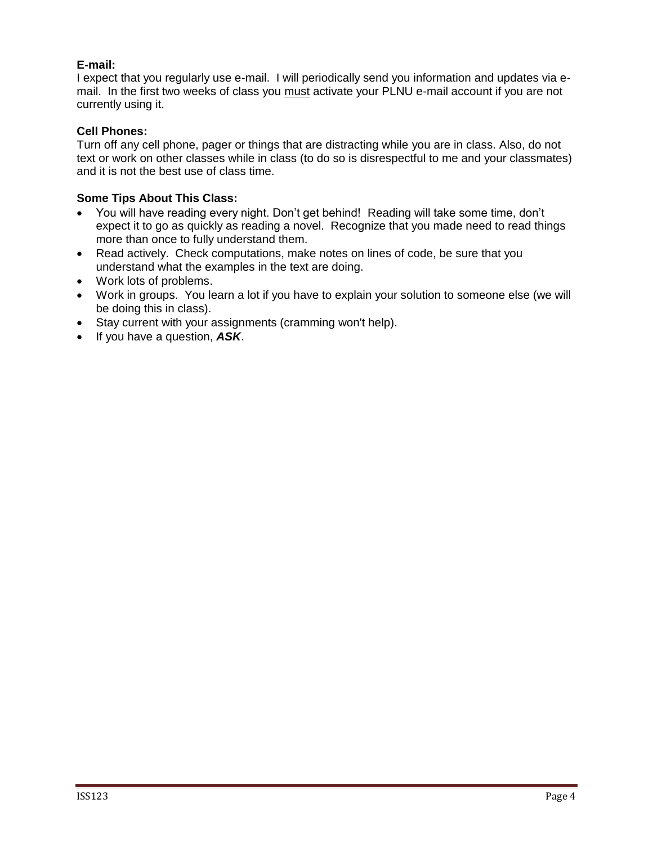# **E-mail:**

I expect that you regularly use e-mail. I will periodically send you information and updates via email. In the first two weeks of class you must activate your PLNU e-mail account if you are not currently using it.

## **Cell Phones:**

Turn off any cell phone, pager or things that are distracting while you are in class. Also, do not text or work on other classes while in class (to do so is disrespectful to me and your classmates) and it is not the best use of class time.

# **Some Tips About This Class:**

- You will have reading every night. Don't get behind! Reading will take some time, don't expect it to go as quickly as reading a novel. Recognize that you made need to read things more than once to fully understand them.
- Read actively. Check computations, make notes on lines of code, be sure that you understand what the examples in the text are doing.
- Work lots of problems.
- Work in groups. You learn a lot if you have to explain your solution to someone else (we will be doing this in class).
- Stay current with your assignments (cramming won't help).
- If you have a question, *ASK*.